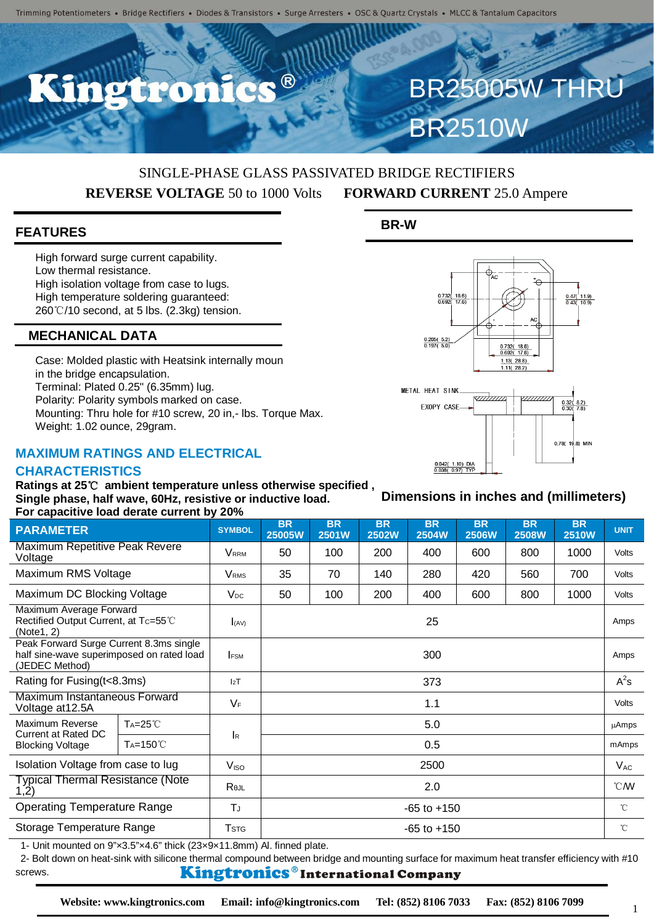R<sup>®</sup>

## SINGLE-PHASE GLASS PASSIVATED BRIDGE RECTIFIERS **REVERSE VOLTAGE** 50 to 1000 Volts **FORWARD CURRENT** 25.0 Ampere

**BR-W**

#### **FEATURES**

High forward surge current capability. Low thermal resistance. High isolation voltage from case to lugs. High temperature soldering guaranteed: 260℃/10 second, at 5 lbs. (2.3kg) tension.

### **MECHANICAL DATA**

Case: Molded plastic with Heatsink internally moun in the bridge encapsulation. Terminal: Plated 0.25" (6.35mm) lug. Polarity: Polarity symbols marked on case. Mounting: Thru hole for #10 screw, 20 in,- lbs. Torque Max. Weight: 1.02 ounce, 29gram.

#### **MAXIMUM RATINGS AND ELECTRICAL**

#### **CHARACTERISTICS**

**Ratings at 25**℃ **ambient temperature unless otherwise specified , Single phase, half wave, 60Hz, resistive or inductive load. For capacitive load derate current by 20%**

| $\overline{1}$ or capacitive load defate carrelly by 2070                                               |                       |                          |                     |                    |                           |                           |                           |                           |                           |                |
|---------------------------------------------------------------------------------------------------------|-----------------------|--------------------------|---------------------|--------------------|---------------------------|---------------------------|---------------------------|---------------------------|---------------------------|----------------|
| <b>PARAMETER</b>                                                                                        |                       | <b>SYMBOL</b>            | <b>BR</b><br>25005W | <b>BR</b><br>2501W | <b>BR</b><br><b>2502W</b> | <b>BR</b><br><b>2504W</b> | <b>BR</b><br><b>2506W</b> | <b>BR</b><br><b>2508W</b> | <b>BR</b><br><b>2510W</b> | <b>UNIT</b>    |
| Maximum Repetitive Peak Revere<br>Voltage                                                               |                       | <b>VRRM</b>              | 50                  | 100                | 200                       | 400                       | 600                       | 800                       | 1000                      | Volts          |
| Maximum RMS Voltage                                                                                     |                       | <b>V</b> <sub>RMS</sub>  | 35                  | 70                 | 140                       | 280                       | 420                       | 560                       | 700                       | <b>Volts</b>   |
| Maximum DC Blocking Voltage                                                                             |                       | $V_{DC}$                 | 50                  | 100                | 200                       | 400                       | 600                       | 800                       | 1000                      | <b>Volts</b>   |
| Maximum Average Forward<br>Rectified Output Current, at Tc=55°C<br>(Note1, 2)                           |                       | $I_{(AV)}$               | 25                  |                    |                           |                           |                           |                           |                           | Amps           |
| Peak Forward Surge Current 8.3ms single<br>half sine-wave superimposed on rated load<br>(JEDEC Method)  |                       | <b>FSM</b>               | 300                 |                    |                           |                           |                           |                           |                           | Amps           |
| Rating for Fusing (t<8.3ms)                                                                             |                       | 12T                      | 373                 |                    |                           |                           |                           |                           |                           | $A^2s$         |
| Maximum Instantaneous Forward<br>Voltage at 12.5A                                                       |                       | $V_F$                    | 1.1                 |                    |                           |                           |                           |                           |                           | Volts          |
| Maximum Reverse<br>Current at Rated DC<br><b>Blocking Voltage</b>                                       | $Ta=25^{\circ}C$      | <b>I</b> R               | 5.0                 |                    |                           |                           |                           |                           |                           | <b>µAmps</b>   |
|                                                                                                         | T <sub>A</sub> =150°C |                          | 0.5                 |                    |                           |                           |                           |                           |                           | mAmps          |
| Isolation Voltage from case to lug                                                                      |                       | V <sub>ISO</sub>         | 2500                |                    |                           |                           |                           |                           |                           | $V_{AC}$       |
| Typical Thermal Resistance (Note<br>(1.2)                                                               |                       | Rejl                     | 2.0                 |                    |                           |                           |                           |                           |                           | $^{\circ}$ CMV |
| <b>Operating Temperature Range</b>                                                                      |                       | ΤJ                       | $-65$ to $+150$     |                    |                           |                           |                           |                           |                           | $^{\circ}$ C   |
| Storage Temperature Range                                                                               |                       | <b>T</b> st <sub>G</sub> | $-65$ to $+150$     |                    |                           |                           |                           |                           |                           | $^{\circ}$ C   |
| 1. Unit mounted on $0^n\omega^2 E^n \omega 4 E^n$ thigh (22 $\omega$ 0 $\omega$ 14.0mm) Al finned plate |                       |                          |                     |                    |                           |                           |                           |                           |                           |                |

Unit mounted on 9"x3.5"x4.6" thick (23x9x11.8mm) Al. finned plate.

2- Bolt down on heat-sink with silicone thermal compound between bridge and mounting surface for maximum heat transfer efficiency with #10 Kingtronics®International Company screws.



**Dimensions in inches and (millimeters)**

BR25005W THRU

BR2510W

1